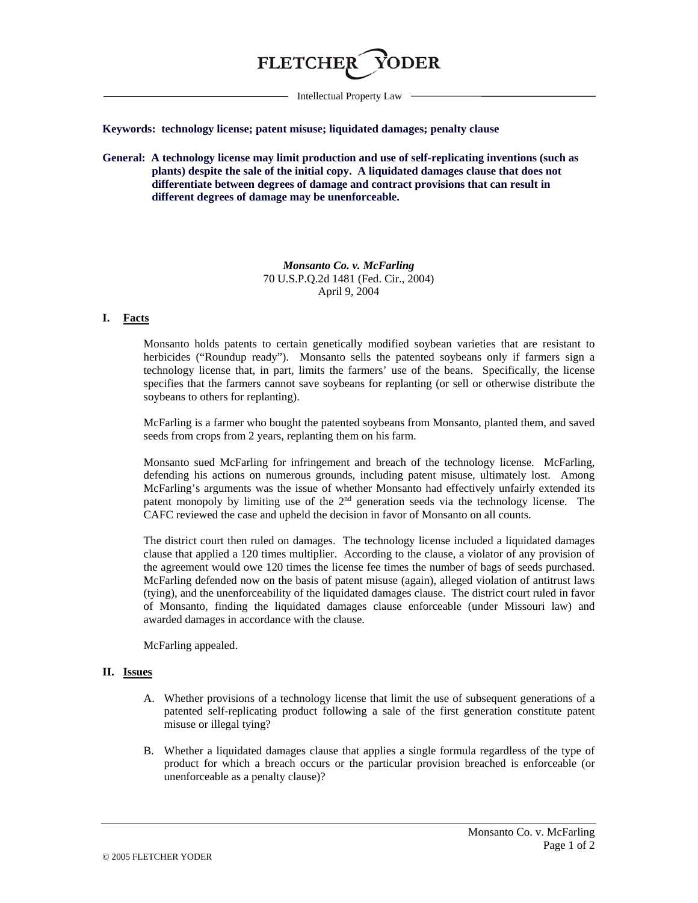

Intellectual Property Law

**Keywords: technology license; patent misuse; liquidated damages; penalty clause**

**General: A technology license may limit production and use of self-replicating inventions (such as plants) despite the sale of the initial copy. A liquidated damages clause that does not differentiate between degrees of damage and contract provisions that can result in different degrees of damage may be unenforceable.**

> *Monsanto Co. v. McFarling* 70 U.S.P.Q.2d 1481 (Fed. Cir., 2004) April 9, 2004

## **I. Facts**

Monsanto holds patents to certain genetically modified soybean varieties that are resistant to herbicides ("Roundup ready"). Monsanto sells the patented soybeans only if farmers sign a technology license that, in part, limits the farmers' use of the beans. Specifically, the license specifies that the farmers cannot save soybeans for replanting (or sell or otherwise distribute the soybeans to others for replanting).

McFarling is a farmer who bought the patented soybeans from Monsanto, planted them, and saved seeds from crops from 2 years, replanting them on his farm.

Monsanto sued McFarling for infringement and breach of the technology license. McFarling, defending his actions on numerous grounds, including patent misuse, ultimately lost. Among McFarling's arguments was the issue of whether Monsanto had effectively unfairly extended its patent monopoly by limiting use of the  $2<sup>nd</sup>$  generation seeds via the technology license. The CAFC reviewed the case and upheld the decision in favor of Monsanto on all counts.

The district court then ruled on damages. The technology license included a liquidated damages clause that applied a 120 times multiplier. According to the clause, a violator of any provision of the agreement would owe 120 times the license fee times the number of bags of seeds purchased. McFarling defended now on the basis of patent misuse (again), alleged violation of antitrust laws (tying), and the unenforceability of the liquidated damages clause. The district court ruled in favor of Monsanto, finding the liquidated damages clause enforceable (under Missouri law) and awarded damages in accordance with the clause.

McFarling appealed.

## **II. Issues**

- A. Whether provisions of a technology license that limit the use of subsequent generations of a patented self-replicating product following a sale of the first generation constitute patent misuse or illegal tying?
- B. Whether a liquidated damages clause that applies a single formula regardless of the type of product for which a breach occurs or the particular provision breached is enforceable (or unenforceable as a penalty clause)?